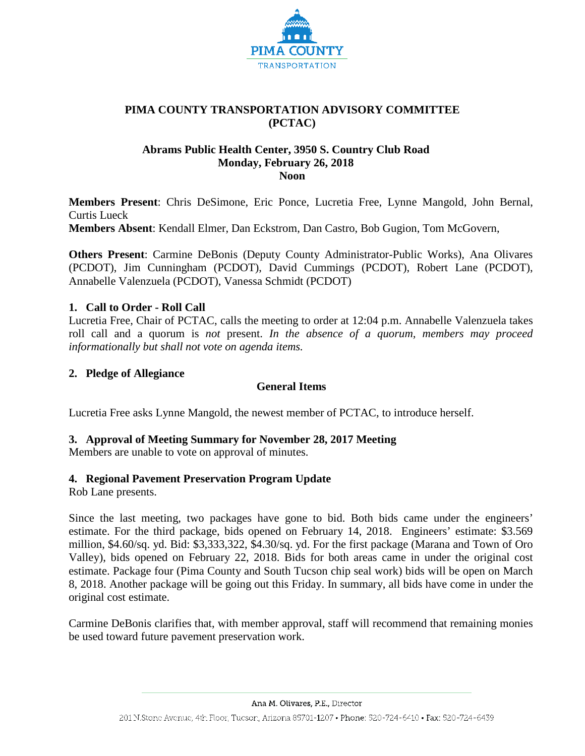

## **PIMA COUNTY TRANSPORTATION ADVISORY COMMITTEE (PCTAC)**

#### **Abrams Public Health Center, 3950 S. Country Club Road Monday, February 26, 2018 Noon**

**Members Present**: Chris DeSimone, Eric Ponce, Lucretia Free, Lynne Mangold, John Bernal, Curtis Lueck **Members Absent**: Kendall Elmer, Dan Eckstrom, Dan Castro, Bob Gugion, Tom McGovern,

**Others Present**: Carmine DeBonis (Deputy County Administrator-Public Works), Ana Olivares (PCDOT), Jim Cunningham (PCDOT), David Cummings (PCDOT), Robert Lane (PCDOT), Annabelle Valenzuela (PCDOT), Vanessa Schmidt (PCDOT)

# **1. Call to Order - Roll Call**

Lucretia Free, Chair of PCTAC, calls the meeting to order at 12:04 p.m. Annabelle Valenzuela takes roll call and a quorum is *not* present. *In the absence of a quorum, members may proceed informationally but shall not vote on agenda items.*

## **2. Pledge of Allegiance**

## **General Items**

Lucretia Free asks Lynne Mangold, the newest member of PCTAC, to introduce herself.

## **3. Approval of Meeting Summary for November 28, 2017 Meeting**

Members are unable to vote on approval of minutes.

## **4. Regional Pavement Preservation Program Update**

Rob Lane presents.

Since the last meeting, two packages have gone to bid. Both bids came under the engineers' estimate. For the third package, bids opened on February 14, 2018. Engineers' estimate: \$3.569 million, \$4.60/sq. yd. Bid: \$3,333,322, \$4.30/sq. yd. For the first package (Marana and Town of Oro Valley), bids opened on February 22, 2018. Bids for both areas came in under the original cost estimate. Package four (Pima County and South Tucson chip seal work) bids will be open on March 8, 2018. Another package will be going out this Friday. In summary, all bids have come in under the original cost estimate.

Carmine DeBonis clarifies that, with member approval, staff will recommend that remaining monies be used toward future pavement preservation work.